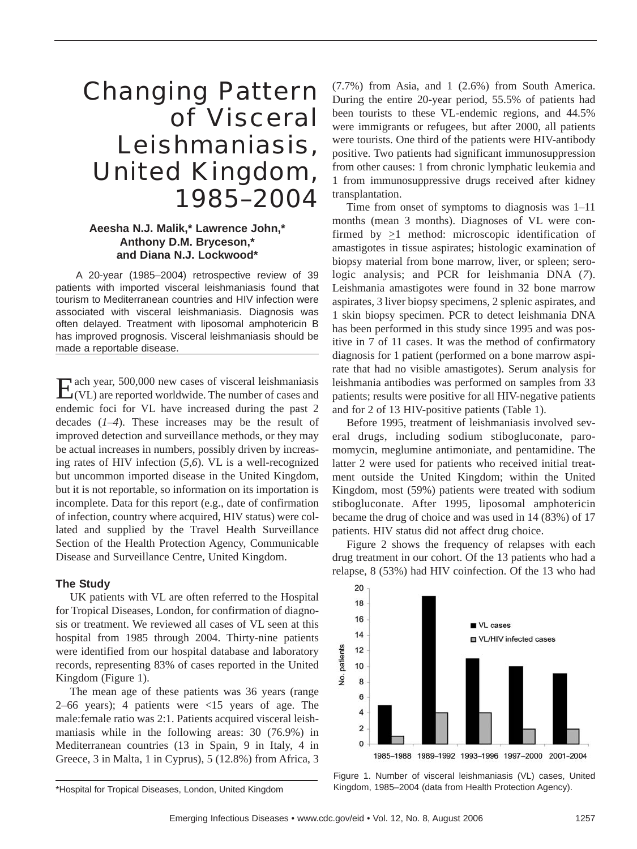# Changing Pattern of Visceral Leishmaniasis, United Kingdom, 1985–2004

## **Aeesha N.J. Malik,\* Lawrence John,\* Anthony D.M. Bryceson,\* and Diana N.J. Lockwood\***

A 20-year (1985–2004) retrospective review of 39 patients with imported visceral leishmaniasis found that tourism to Mediterranean countries and HIV infection were associated with visceral leishmaniasis. Diagnosis was often delayed. Treatment with liposomal amphotericin B has improved prognosis. Visceral leishmaniasis should be made a reportable disease.

Each year, 500,000 new cases of visceral leishmaniasis (VL) are reported worldwide. The number of cases and endemic foci for VL have increased during the past 2 decades (*1–4*). These increases may be the result of improved detection and surveillance methods, or they may be actual increases in numbers, possibly driven by increasing rates of HIV infection (*5,6*). VL is a well-recognized but uncommon imported disease in the United Kingdom, but it is not reportable, so information on its importation is incomplete. Data for this report (e.g., date of confirmation of infection, country where acquired, HIV status) were collated and supplied by the Travel Health Surveillance Section of the Health Protection Agency, Communicable Disease and Surveillance Centre, United Kingdom.

### **The Study**

UK patients with VL are often referred to the Hospital for Tropical Diseases, London, for confirmation of diagnosis or treatment. We reviewed all cases of VL seen at this hospital from 1985 through 2004. Thirty-nine patients were identified from our hospital database and laboratory records, representing 83% of cases reported in the United Kingdom (Figure 1).

The mean age of these patients was 36 years (range 2–66 years); 4 patients were <15 years of age. The male:female ratio was 2:1. Patients acquired visceral leishmaniasis while in the following areas: 30 (76.9%) in Mediterranean countries (13 in Spain, 9 in Italy, 4 in Greece, 3 in Malta, 1 in Cyprus), 5 (12.8%) from Africa, 3

(7.7%) from Asia, and 1 (2.6%) from South America. During the entire 20-year period, 55.5% of patients had been tourists to these VL-endemic regions, and 44.5% were immigrants or refugees, but after 2000, all patients were tourists. One third of the patients were HIV-antibody positive. Two patients had significant immunosuppression from other causes: 1 from chronic lymphatic leukemia and 1 from immunosuppressive drugs received after kidney transplantation.

Time from onset of symptoms to diagnosis was 1–11 months (mean 3 months). Diagnoses of VL were confirmed by  $\geq 1$  method: microscopic identification of amastigotes in tissue aspirates; histologic examination of biopsy material from bone marrow, liver, or spleen; serologic analysis; and PCR for leishmania DNA (*7*). Leishmania amastigotes were found in 32 bone marrow aspirates, 3 liver biopsy specimens, 2 splenic aspirates, and 1 skin biopsy specimen. PCR to detect leishmania DNA has been performed in this study since 1995 and was positive in 7 of 11 cases. It was the method of confirmatory diagnosis for 1 patient (performed on a bone marrow aspirate that had no visible amastigotes). Serum analysis for leishmania antibodies was performed on samples from 33 patients; results were positive for all HIV-negative patients and for 2 of 13 HIV-positive patients (Table 1).

Before 1995, treatment of leishmaniasis involved several drugs, including sodium stibogluconate, paromomycin, meglumine antimoniate, and pentamidine. The latter 2 were used for patients who received initial treatment outside the United Kingdom; within the United Kingdom, most (59%) patients were treated with sodium stibogluconate. After 1995, liposomal amphotericin became the drug of choice and was used in 14 (83%) of 17 patients. HIV status did not affect drug choice.

Figure 2 shows the frequency of relapses with each drug treatment in our cohort. Of the 13 patients who had a relapse, 8 (53%) had HIV coinfection. Of the 13 who had



Figure 1. Number of visceral leishmaniasis (VL) cases, United Kingdom, 1985–2004 (data from Health Protection Agency).

<sup>\*</sup>Hospital for Tropical Diseases, London, United Kingdom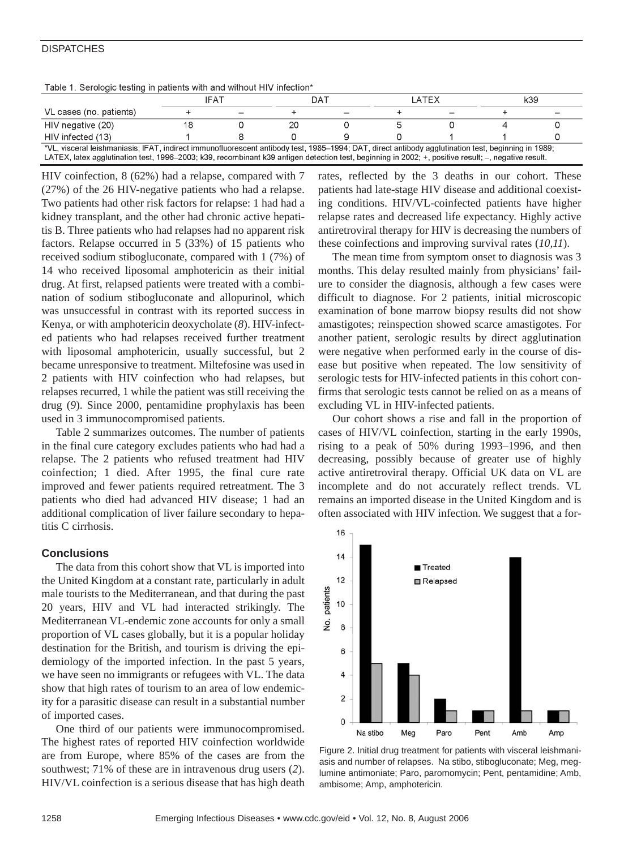#### **DISPATCHES**

|  |  |  |  |  |  |  | Table 1. Serologic testing in patients with and without HIV infection* |
|--|--|--|--|--|--|--|------------------------------------------------------------------------|
|--|--|--|--|--|--|--|------------------------------------------------------------------------|

|                                                                                                                                                     | <b>IFAT</b> |  |  | DA1 |  | ATEX |  | k39 |  |
|-----------------------------------------------------------------------------------------------------------------------------------------------------|-------------|--|--|-----|--|------|--|-----|--|
| VL cases (no. patients)                                                                                                                             |             |  |  |     |  |      |  |     |  |
| HIV negative (20)                                                                                                                                   | 18          |  |  |     |  |      |  |     |  |
| HIV infected (13)                                                                                                                                   |             |  |  |     |  |      |  |     |  |
| *VL, visceral leishmaniasis; IFAT, indirect immunofluorescent antibody test, 1985–1994; DAT, direct antibody agglutination test, beginning in 1989; |             |  |  |     |  |      |  |     |  |
| LATEX, latex agglutination test, 1996–2003; k39, recombinant k39 antigen detection test, beginning in 2002; +, positive result; -, negative result. |             |  |  |     |  |      |  |     |  |

HIV coinfection, 8 (62%) had a relapse, compared with 7 (27%) of the 26 HIV-negative patients who had a relapse. Two patients had other risk factors for relapse: 1 had had a kidney transplant, and the other had chronic active hepatitis B. Three patients who had relapses had no apparent risk factors. Relapse occurred in 5 (33%) of 15 patients who received sodium stibogluconate, compared with 1 (7%) of 14 who received liposomal amphotericin as their initial drug. At first, relapsed patients were treated with a combination of sodium stibogluconate and allopurinol, which was unsuccessful in contrast with its reported success in Kenya, or with amphotericin deoxycholate (*8*). HIV-infected patients who had relapses received further treatment with liposomal amphotericin, usually successful, but 2 became unresponsive to treatment. Miltefosine was used in 2 patients with HIV coinfection who had relapses, but relapses recurred, 1 while the patient was still receiving the drug (*9*). Since 2000, pentamidine prophylaxis has been used in 3 immunocompromised patients.

Table 2 summarizes outcomes. The number of patients in the final cure category excludes patients who had had a relapse. The 2 patients who refused treatment had HIV coinfection; 1 died. After 1995, the final cure rate improved and fewer patients required retreatment. The 3 patients who died had advanced HIV disease; 1 had an additional complication of liver failure secondary to hepatitis C cirrhosis.

#### **Conclusions**

The data from this cohort show that VL is imported into the United Kingdom at a constant rate, particularly in adult male tourists to the Mediterranean, and that during the past 20 years, HIV and VL had interacted strikingly. The Mediterranean VL-endemic zone accounts for only a small proportion of VL cases globally, but it is a popular holiday destination for the British, and tourism is driving the epidemiology of the imported infection. In the past 5 years, we have seen no immigrants or refugees with VL. The data show that high rates of tourism to an area of low endemicity for a parasitic disease can result in a substantial number of imported cases.

One third of our patients were immunocompromised. The highest rates of reported HIV coinfection worldwide are from Europe, where 85% of the cases are from the southwest; 71% of these are in intravenous drug users (*2*). HIV/VL coinfection is a serious disease that has high death

rates, reflected by the 3 deaths in our cohort. These patients had late-stage HIV disease and additional coexisting conditions. HIV/VL-coinfected patients have higher relapse rates and decreased life expectancy. Highly active antiretroviral therapy for HIV is decreasing the numbers of these coinfections and improving survival rates (*10,11*).

The mean time from symptom onset to diagnosis was 3 months. This delay resulted mainly from physicians' failure to consider the diagnosis, although a few cases were difficult to diagnose. For 2 patients, initial microscopic examination of bone marrow biopsy results did not show amastigotes; reinspection showed scarce amastigotes. For another patient, serologic results by direct agglutination were negative when performed early in the course of disease but positive when repeated. The low sensitivity of serologic tests for HIV-infected patients in this cohort confirms that serologic tests cannot be relied on as a means of excluding VL in HIV-infected patients.

Our cohort shows a rise and fall in the proportion of cases of HIV/VL coinfection, starting in the early 1990s, rising to a peak of 50% during 1993–1996, and then decreasing, possibly because of greater use of highly active antiretroviral therapy. Official UK data on VL are incomplete and do not accurately reflect trends. VL remains an imported disease in the United Kingdom and is often associated with HIV infection. We suggest that a for-



Figure 2. Initial drug treatment for patients with visceral leishmaniasis and number of relapses. Na stibo, stibogluconate; Meg, meglumine antimoniate; Paro, paromomycin; Pent, pentamidine; Amb, ambisome; Amp, amphotericin.